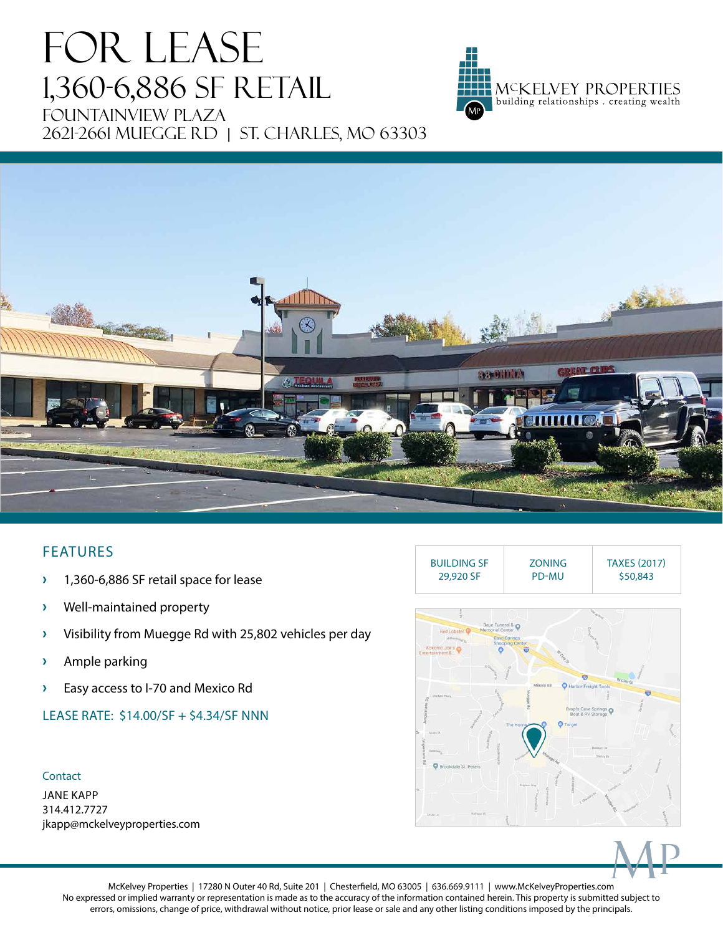# FOR LEASE 1,360-6,886 SF RETAIL Fountainview PLaza 2621-2661 Muegge Rd | St. charles, MO 63303





## FEATURES

- **›** 1,360-6,886 SF retail space for lease
- **›** Well-maintained property
- **›** Visibility from Muegge Rd with 25,802 vehicles per day
- **›** Ample parking
- **›** Easy access to I-70 and Mexico Rd
- LEASE RATE: \$14.00/SF + \$4.34/SF NNN

### Contact

JANE KAPP 314.412.7727 jkapp@mckelveyproperties.com





McKelvey Properties | 17280 N Outer 40 Rd, Suite 201 | Chesterfield, MO 63005 | 636.669.9111 | www.McKelveyProperties.com No expressed or implied warranty or representation is made as to the accuracy of the information contained herein. This property is submitted subject to errors, omissions, change of price, withdrawal without notice, prior lease or sale and any other listing conditions imposed by the principals.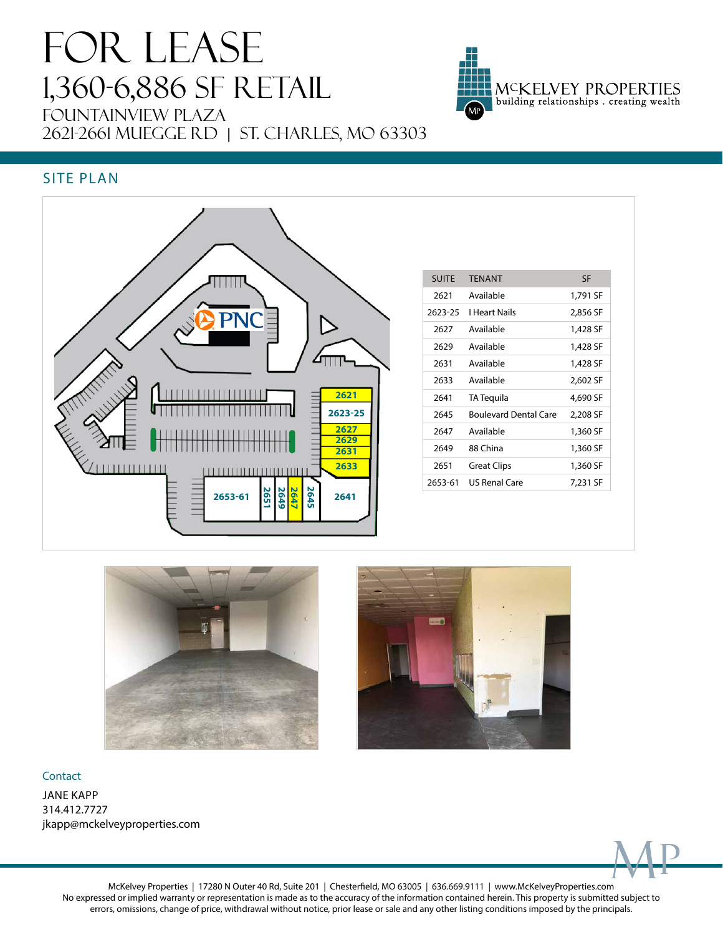# FOR LEASE 1,360-6,886 SF RETAIL Fountainview PLaza 2621-2661 MUEGGE RD | ST. CHARLES, MO 63303



## SITE PLAN



| <b>SUITE</b> | <b>TFNANT</b>                | <b>SF</b> |
|--------------|------------------------------|-----------|
| 2621         | Available                    | 1,791 SF  |
| 2623-25      | I Heart Nails                | 2,856 SF  |
| 2627         | Available                    | 1,428 SF  |
| 2629         | Available                    | 1,428 SF  |
| 2631         | Available                    | 1,428 SF  |
| 2633         | Available                    | 2,602 SF  |
| 2641         | TA Tequila                   | 4,690 SF  |
| 2645         | <b>Boulevard Dental Care</b> | 2,208 SF  |
| 2647         | Available                    | 1,360 SF  |
| 2649         | 88 China                     | 1,360 SF  |
| 2651         | <b>Great Clips</b>           | 1,360 SF  |
| 2653-61      | US Renal Care                | 7.231 SF  |





### Contact

JANE KAPP 314.412.7727 jkapp@mckelveyproperties.com



McKelvey Properties | 17280 N Outer 40 Rd, Suite 201 | Chesterfield, MO 63005 | 636.669.9111 | www.McKelveyProperties.com No expressed or implied warranty or representation is made as to the accuracy of the information contained herein. This property is submitted subject to errors, omissions, change of price, withdrawal without notice, prior lease or sale and any other listing conditions imposed by the principals.